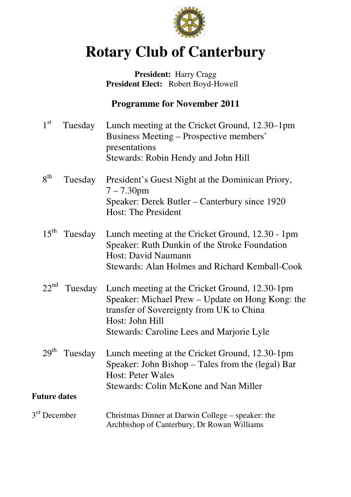

# **Rotary Club of Canterbury**

### President: Harry Cragg  **President Elect:** Robert Boyd-Howell

# **Programme for November 2011**

| $1^{\rm st}$        | Tuesday | Lunch meeting at the Cricket Ground, 12.30–1pm<br>Business Meeting – Prospective members'<br>presentations<br>Stewards: Robin Hendy and John Hill                                                                      |
|---------------------|---------|------------------------------------------------------------------------------------------------------------------------------------------------------------------------------------------------------------------------|
| $8^{th}$            | Tuesday | President's Guest Night at the Dominican Priory,<br>$7 - 7.30$ pm<br>Speaker: Derek Butler – Canterbury since 1920<br><b>Host: The President</b>                                                                       |
| $15^{\text{th}}$    | Tuesday | Lunch meeting at the Cricket Ground, 12.30 - 1pm<br>Speaker: Ruth Dunkin of the Stroke Foundation<br>Host: David Naumann<br><b>Stewards: Alan Holmes and Richard Kemball-Cook</b>                                      |
| $22^{nd}$           |         | Tuesday Lunch meeting at the Cricket Ground, 12.30-1pm<br>Speaker: Michael Prew – Update on Hong Kong: the<br>transfer of Sovereignty from UK to China<br>Host: John Hill<br>Stewards: Caroline Lees and Marjorie Lyle |
| 29 <sup>th</sup>    | Tuesday | Lunch meeting at the Cricket Ground, 12.30-1pm<br>Speaker: John Bishop – Tales from the (legal) Bar<br><b>Host: Peter Wales</b><br><b>Stewards: Colin McKone and Nan Miller</b>                                        |
| <b>Future dates</b> |         |                                                                                                                                                                                                                        |
| $3rd$ December      |         | Christmas Dinner at Darwin College – speaker: the<br>Archbishop of Canterbury, Dr Rowan Williams                                                                                                                       |